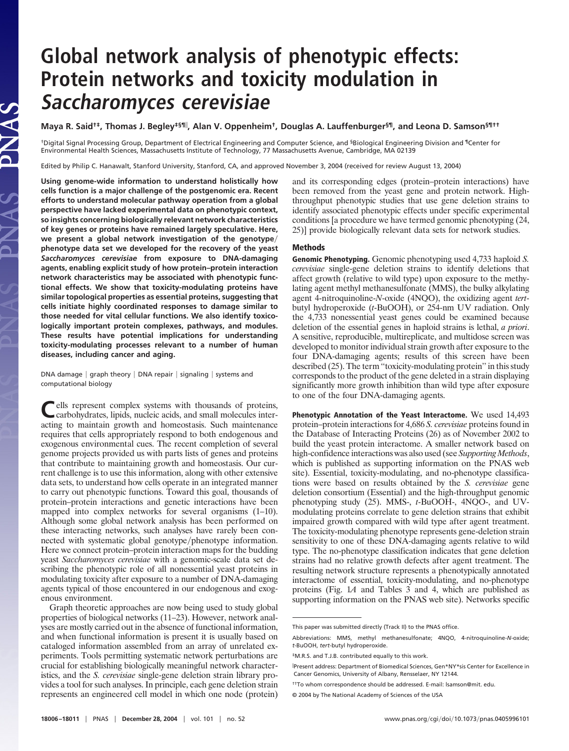# **Global network analysis of phenotypic effects: Protein networks and toxicity modulation in Saccharomyces cerevisiae**

**Maya R. Said†‡, Thomas J. Begley‡§¶ , Alan V. Oppenheim†, Douglas A. Lauffenburger§¶, and Leona D. Samson§¶††**

†Digital Signal Processing Group, Department of Electrical Engineering and Computer Science, and §Biological Engineering Division and ¶Center for Environmental Health Sciences, Massachusetts Institute of Technology, 77 Massachusetts Avenue, Cambridge, MA 02139

Edited by Philip C. Hanawalt, Stanford University, Stanford, CA, and approved November 3, 2004 (received for review August 13, 2004)

**Using genome-wide information to understand holistically how cells function is a major challenge of the postgenomic era. Recent efforts to understand molecular pathway operation from a global perspective have lacked experimental data on phenotypic context, so insights concerning biologically relevant network characteristics of key genes or proteins have remained largely speculative. Here,** we present a global network investigation of the genotype/ **phenotype data set we developed for the recovery of the yeast** *Saccharomyces cerevisiae* **from exposure to DNA-damaging agents, enabling explicit study of how protein–protein interaction network characteristics may be associated with phenotypic functional effects. We show that toxicity-modulating proteins have similar topological properties as essential proteins, suggesting that cells initiate highly coordinated responses to damage similar to those needed for vital cellular functions. We also identify toxicologically important protein complexes, pathways, and modules. These results have potential implications for understanding toxicity-modulating processes relevant to a number of human diseases, including cancer and aging.**

PNAS

V

DNA damage  $|$  graph theory  $|$  DNA repair  $|$  signaling  $|$  systems and computational biology

<sup>'</sup>ells represent complex systems with thousands of proteins, carbohydrates, lipids, nucleic acids, and small molecules interacting to maintain growth and homeostasis. Such maintenance requires that cells appropriately respond to both endogenous and exogenous environmental cues. The recent completion of several genome projects provided us with parts lists of genes and proteins that contribute to maintaining growth and homeostasis. Our current challenge is to use this information, along with other extensive data sets, to understand how cells operate in an integrated manner to carry out phenotypic functions. Toward this goal, thousands of protein–protein interactions and genetic interactions have been mapped into complex networks for several organisms (1–10). Although some global network analysis has been performed on these interacting networks, such analyses have rarely been connected with systematic global genotype/phenotype information. Here we connect protein–protein interaction maps for the budding yeast *Saccharomyces cerevisiae* with a genomic-scale data set describing the phenotypic role of all nonessential yeast proteins in modulating toxicity after exposure to a number of DNA-damaging agents typical of those encountered in our endogenous and exogenous environment.

Graph theoretic approaches are now being used to study global properties of biological networks (11–23). However, network analyses are mostly carried out in the absence of functional information, and when functional information is present it is usually based on cataloged information assembled from an array of unrelated experiments. Tools permitting systematic network perturbations are crucial for establishing biologically meaningful network characteristics, and the *S. cerevisiae* single-gene deletion strain library provides a tool for such analyses. In principle, each gene deletion strain represents an engineered cell model in which one node (protein) and its corresponding edges (protein–protein interactions) have been removed from the yeast gene and protein network. Highthroughput phenotypic studies that use gene deletion strains to identify associated phenotypic effects under specific experimental conditions [a procedure we have termed genomic phenotyping (24, 25)] provide biologically relevant data sets for network studies.

#### **Methods**

**Genomic Phenotyping.** Genomic phenotyping used 4,733 haploid *S. cerevisiae* single-gene deletion strains to identify deletions that affect growth (relative to wild type) upon exposure to the methylating agent methyl methanesulfonate (MMS), the bulky alkylating agent 4-nitroquinoline-*N*-oxide (4NQO), the oxidizing agent *tert*butyl hydroperoxide (*t*-BuOOH), or 254-nm UV radiation. Only the 4,733 nonessential yeast genes could be examined because deletion of the essential genes in haploid strains is lethal, *a priori*. A sensitive, reproducible, multireplicate, and multidose screen was developed to monitor individual strain growth after exposure to the four DNA-damaging agents; results of this screen have been described (25). The term ''toxicity-modulating protein'' in this study corresponds to the product of the gene deleted in a strain displaying significantly more growth inhibition than wild type after exposure to one of the four DNA-damaging agents.

**Phenotypic Annotation of the Yeast Interactome.** We used 14,493 protein–protein interactions for 4,686 *S. cerevisiae* proteins found in the Database of Interacting Proteins (26) as of November 2002 to build the yeast protein interactome. A smaller network based on high-confidence interactions was also used (see *Supporting Methods*, which is published as supporting information on the PNAS web site). Essential, toxicity-modulating, and no-phenotype classifications were based on results obtained by the *S. cerevisiae* gene deletion consortium (Essential) and the high-throughput genomic phenotyping study (25). MMS-, *t*-BuOOH-, 4NQO-, and UVmodulating proteins correlate to gene deletion strains that exhibit impaired growth compared with wild type after agent treatment. The toxicity-modulating phenotype represents gene-deletion strain sensitivity to one of these DNA-damaging agents relative to wild type. The no-phenotype classification indicates that gene deletion strains had no relative growth defects after agent treatment. The resulting network structure represents a phenotypically annotated interactome of essential, toxicity-modulating, and no-phenotype proteins (Fig. 1*A* and Tables 3 and 4, which are published as supporting information on the PNAS web site). Networks specific

This paper was submitted directly (Track II) to the PNAS office.

Abbreviations: MMS, methyl methanesulfonate; 4NQO, 4-nitroquinoline-*N*-oxide; *t*-BuOOH, *tert*-butyl hydroperoxide.

<sup>‡</sup>M.R.S. and T.J.B. contributed equally to this work.

Present address: Department of Biomedical Sciences, Gen\*NY\*sis Center for Excellence in Cancer Genomics, University of Albany, Rensselaer, NY 12144.

<sup>††</sup>To whom correspondence should be addressed. E-mail: lsamson@mit. edu.

<sup>© 2004</sup> by The National Academy of Sciences of the USA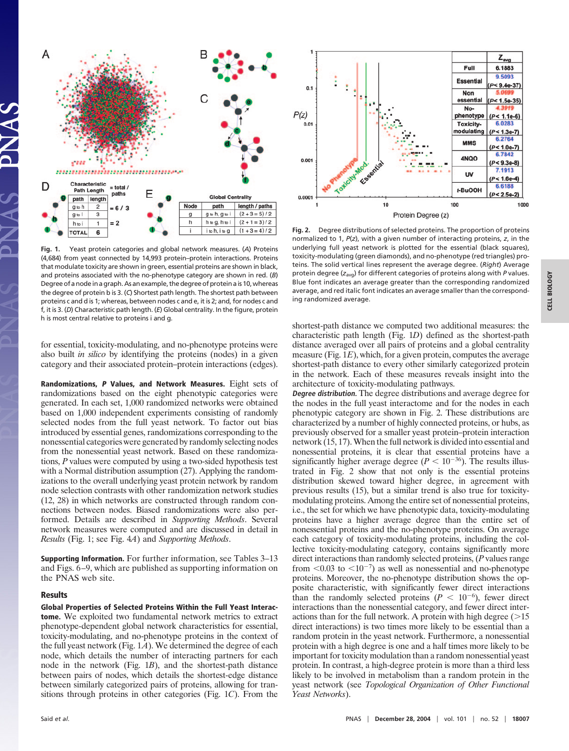

**Fig. 1.** Yeast protein categories and global network measures. (*A*) Proteins (4,684) from yeast connected by 14,993 protein–protein interactions. Proteins that modulate toxicity are shown in green, essential proteins are shown in black, and proteins associated with the no-phenotype category are shown in red. (*B*) Degree of a node in a graph. As an example, the degree of protein a is 10, whereas the degree of protein b is 3. (*C*) Shortest path length. The shortest path between proteins c and d is 1; whereas, between nodes c and e, it is 2; and, for nodes c and f, it is 3. (*D*) Characteristic path length. (*E*) Global centrality. In the figure, protein h is most central relative to proteins i and g.

for essential, toxicity-modulating, and no-phenotype proteins were also built *in silico* by identifying the proteins (nodes) in a given category and their associated protein–protein interactions (edges).

**Randomizations, <sup>P</sup> Values, and Network Measures.** Eight sets of randomizations based on the eight phenotypic categories were generated. In each set, 1,000 randomized networks were obtained based on 1,000 independent experiments consisting of randomly selected nodes from the full yeast network. To factor out bias introduced by essential genes, randomizations corresponding to the nonessential categories were generated by randomly selecting nodes from the nonessential yeast network. Based on these randomizations, *P* values were computed by using a two-sided hypothesis test with a Normal distribution assumption (27). Applying the randomizations to the overall underlying yeast protein network by random node selection contrasts with other randomization network studies (12, 28) in which networks are constructed through random connections between nodes. Biased randomizations were also performed. Details are described in *Supporting Methods*. Several network measures were computed and are discussed in detail in *Results* (Fig. 1; see Fig. 4*A*) and *Supporting Methods*.

**Supporting Information.** For further information, see Tables 3–13 and Figs. 6–9, which are published as supporting information on the PNAS web site.

### **Results**

**Global Properties of Selected Proteins Within the Full Yeast Interactome.** We exploited two fundamental network metrics to extract phenotype-dependent global network characteristics for essential, toxicity-modulating, and no-phenotype proteins in the context of the full yeast network (Fig. 1*A*). We determined the degree of each node, which details the number of interacting partners for each node in the network (Fig. 1*B*), and the shortest-path distance between pairs of nodes, which details the shortest-edge distance between similarly categorized pairs of proteins, allowing for transitions through proteins in other categories (Fig. 1*C*). From the



**Fig. 2.** Degree distributions of selected proteins. The proportion of proteins normalized to 1, *P*(*z*), with a given number of interacting proteins, *z*, in the underlying full yeast network is plotted for the essential (black squares), toxicity-modulating (green diamonds), and no-phenotype (red triangles) proteins. The solid vertical lines represent the average degree. (*Right*) Average protein degree (*z*avg) for different categories of proteins along with *P* values. Blue font indicates an average greater than the corresponding randomized average, and red italic font indicates an average smaller than the corresponding randomized average.

shortest-path distance we computed two additional measures: the characteristic path length (Fig. 1*D*) defined as the shortest-path distance averaged over all pairs of proteins and a global centrality measure (Fig. 1*E*), which, for a given protein, computes the average shortest-path distance to every other similarly categorized protein in the network. Each of these measures reveals insight into the architecture of toxicity-modulating pathways.

**Degree distribution.** The degree distributions and average degree for the nodes in the full yeast interactome and for the nodes in each phenotypic category are shown in Fig. 2. These distributions are characterized by a number of highly connected proteins, or hubs, as previously observed for a smaller yeast protein–protein interaction network (15, 17).When the full network is divided into essential and nonessential proteins, it is clear that essential proteins have a significantly higher average degree  $(P < 10^{-36})$ . The results illustrated in Fig. 2 show that not only is the essential proteins distribution skewed toward higher degree, in agreement with previous results (15), but a similar trend is also true for toxicitymodulating proteins. Among the entire set of nonessential proteins, i.e., the set for which we have phenotypic data, toxicity-modulating proteins have a higher average degree than the entire set of nonessential proteins and the no-phenotype proteins. On average each category of toxicity-modulating proteins, including the collective toxicity-modulating category, contains significantly more direct interactions than randomly selected proteins, (*P* values range from  $\langle 0.03 \text{ to } \langle 10^{-7} \rangle$  as well as nonessential and no-phenotype proteins. Moreover, the no-phenotype distribution shows the opposite characteristic, with significantly fewer direct interactions than the randomly selected proteins  $(P < 10^{-6})$ , fewer direct interactions than the nonessential category, and fewer direct interactions than for the full network. A protein with high degree  $(>=15$ direct interactions) is two times more likely to be essential than a random protein in the yeast network. Furthermore, a nonessential protein with a high degree is one and a half times more likely to be important for toxicity modulation than a random nonessential yeast protein. In contrast, a high-degree protein is more than a third less likely to be involved in metabolism than a random protein in the yeast network (see *Topological Organization of Other Functional Yeast Networks*).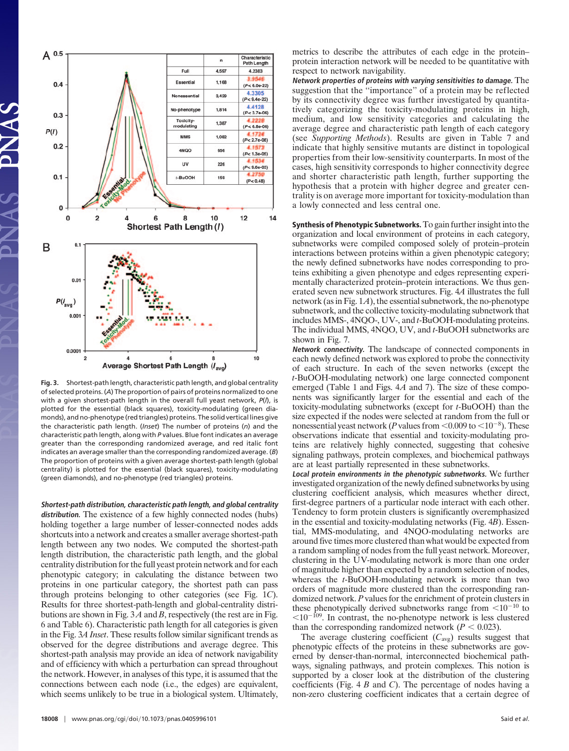

**Fig. 3.** Shortest-path length, characteristic path length, and global centrality of selected proteins. (*A*) The proportion of pairs of proteins normalized to one with a given shortest-path length in the overall full yeast network, *P*(*l*), is plotted for the essential (black squares), toxicity-modulating (green diamonds), and no-phenotype (red triangles) proteins. The solid vertical lines give the characteristic path length. (*Inset*) The number of proteins (*n*) and the characteristic path length, along with *P* values. Blue font indicates an average greater than the corresponding randomized average, and red italic font indicates an average smaller than the corresponding randomized average. (*B*) The proportion of proteins with a given average shortest-path length (global centrality) is plotted for the essential (black squares), toxicity-modulating (green diamonds), and no-phenotype (red triangles) proteins.

**Shortest-path distribution, characteristic path length, and global centrality distribution.** The existence of a few highly connected nodes (hubs) holding together a large number of lesser-connected nodes adds shortcuts into a network and creates a smaller average shortest-path length between any two nodes. We computed the shortest-path length distribution, the characteristic path length, and the global centrality distribution for the full yeast protein network and for each phenotypic category; in calculating the distance between two proteins in one particular category, the shortest path can pass through proteins belonging to other categories (see Fig. 1*C*). Results for three shortest-path-length and global-centrality distributions are shown in Fig. 3 *A* and *B*, respectively (the rest are in Fig. 6 and Table 6). Characteristic path length for all categories is given in the Fig. 3*A Inset*. These results follow similar significant trends as observed for the degree distributions and average degree. This shortest-path analysis may provide an idea of network navigability and of efficiency with which a perturbation can spread throughout the network. However, in analyses of this type, it is assumed that the connections between each node (i.e., the edges) are equivalent, which seems unlikely to be true in a biological system. Ultimately, metrics to describe the attributes of each edge in the protein– protein interaction network will be needed to be quantitative with respect to network navigability.

**Network properties of proteins with varying sensitivities to damage.** The suggestion that the ''importance'' of a protein may be reflected by its connectivity degree was further investigated by quantitatively categorizing the toxicity-modulating proteins in high, medium, and low sensitivity categories and calculating the average degree and characteristic path length of each category (see *Supporting Methods*). Results are given in Table 7 and indicate that highly sensitive mutants are distinct in topological properties from their low-sensitivity counterparts. In most of the cases, high sensitivity corresponds to higher connectivity degree and shorter characteristic path length, further supporting the hypothesis that a protein with higher degree and greater centrality is on average more important for toxicity-modulation than a lowly connected and less central one.

**Synthesis of Phenotypic Subnetworks.** To gain further insight into the organization and local environment of proteins in each category, subnetworks were compiled composed solely of protein–protein interactions between proteins within a given phenotypic category; the newly defined subnetworks have nodes corresponding to proteins exhibiting a given phenotype and edges representing experimentally characterized protein–protein interactions. We thus generated seven new subnetwork structures. Fig. 4*A* illustrates the full network (as in Fig. 1*A*), the essential subnetwork, the no-phenotype subnetwork, and the collective toxicity-modulating subnetwork that includes MMS-, 4NQO-, UV-, and *t*-BuOOH-modulating proteins. The individual MMS, 4NQO, UV, and *t*-BuOOH subnetworks are shown in Fig. 7.

**Network connectivity.** The landscape of connected components in each newly defined network was explored to probe the connectivity of each structure. In each of the seven networks (except the *t*-BuOOH-modulating network) one large connected component emerged (Table 1 and Figs. 4*A* and 7). The size of these components was significantly larger for the essential and each of the toxicity-modulating subnetworks (except for *t*-BuOOH) than the size expected if the nodes were selected at random from the full or nonessential yeast network (*P* values from  $\leq 0.009$  to  $\leq 10^{-8}$ ). These observations indicate that essential and toxicity-modulating proteins are relatively highly connected, suggesting that cohesive signaling pathways, protein complexes, and biochemical pathways are at least partially represented in these subnetworks.

**Local protein environments in the phenotypic subnetworks.** We further investigated organization of the newly defined subnetworks by using clustering coefficient analysis, which measures whether direct, first-degree partners of a particular node interact with each other. Tendency to form protein clusters is significantly overemphasized in the essential and toxicity-modulating networks (Fig. 4*B*). Essential, MMS-modulating, and 4NQO-modulating networks are around five times more clustered than what would be expected from a random sampling of nodes from the full yeast network. Moreover, clustering in the UV-modulating network is more than one order of magnitude higher than expected by a random selection of nodes, whereas the *t*-BuOOH-modulating network is more than two orders of magnitude more clustered than the corresponding randomized network. *P* values for the enrichment of protein clusters in these phenotypically derived subnetworks range from  $\leq 10^{-10}$  to  $\leq 10^{-109}$ . In contrast, the no-phenotype network is less clustered than the corresponding randomized network  $(P < 0.023)$ .

The average clustering coefficient  $(C_{avg})$  results suggest that phenotypic effects of the proteins in these subnetworks are governed by denser-than-normal, interconnected biochemical pathways, signaling pathways, and protein complexes. This notion is supported by a closer look at the distribution of the clustering coefficients (Fig. 4 *B* and *C*). The percentage of nodes having a non-zero clustering coefficient indicates that a certain degree of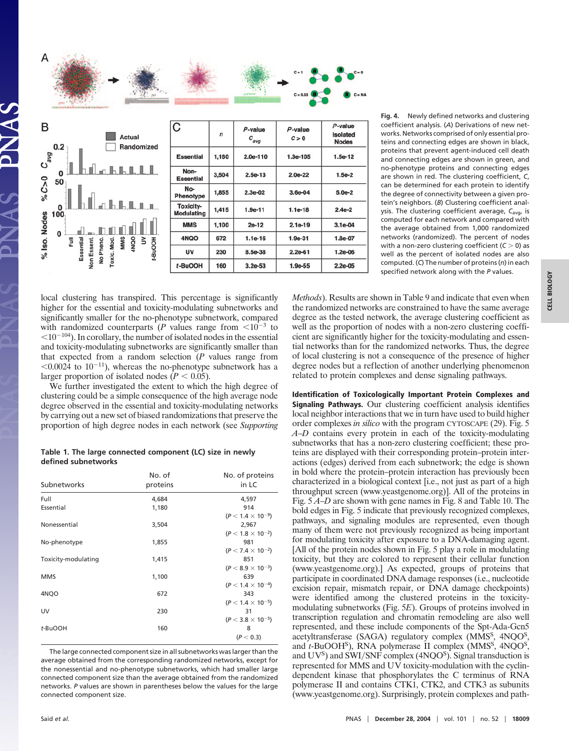

**Fig. 4.** Newly defined networks and clustering coefficient analysis. (*A*) Derivations of new networks. Networks comprised of only essential proteins and connecting edges are shown in black, proteins that prevent agent-induced cell death and connecting edges are shown in green, and no-phenotype proteins and connecting edges are shown in red. The clustering coefficient, *C*, can be determined for each protein to identify the degree of connectivity between a given protein's neighbors. (*B*) Clustering coefficient analysis. The clustering coefficient average, *C*avg, is computed for each network and compared with the average obtained from 1,000 randomized networks (randomized). The percent of nodes with a non-zero clustering coefficient  $(C > 0)$  as well as the percent of isolated nodes are also computed. (*C*) The number of proteins (*n*) in each specified network along with the *P* values.

local clustering has transpired. This percentage is significantly higher for the essential and toxicity-modulating subnetworks and significantly smaller for the no-phenotype subnetwork, compared with randomized counterparts  $(P$  values range from  $\leq 10^{-3}$  to  $\leq$ 10<sup>-104</sup>). In corollary, the number of isolated nodes in the essential and toxicity-modulating subnetworks are significantly smaller than that expected from a random selection (*P* values range from  $\leq 0.0024$  to 10<sup>-11</sup>), whereas the no-phenotype subnetwork has a larger proportion of isolated nodes ( $P < 0.05$ ).

We further investigated the extent to which the high degree of clustering could be a simple consequence of the high average node degree observed in the essential and toxicity-modulating networks by carrying out a new set of biased randomizations that preserve the proportion of high degree nodes in each network (see *Supporting*

**Table 1. The large connected component (LC) size in newly defined subnetworks**

| Subnetworks         | No. of<br>proteins | No. of proteins<br>in LC   |  |
|---------------------|--------------------|----------------------------|--|
| Full                | 4,684              | 4,597                      |  |
| Essential           | 1,180              | 914                        |  |
|                     |                    | $(P < 1.4 \times 10^{-9})$ |  |
| Nonessential        | 3,504              | 2,967                      |  |
|                     |                    | $(P < 1.8 \times 10^{-2})$ |  |
| No-phenotype        | 1,855              | 981                        |  |
|                     |                    | $(P < 7.4 \times 10^{-2})$ |  |
| Toxicity-modulating | 1,415              | 851                        |  |
|                     |                    | $(P < 8.9 \times 10^{-3})$ |  |
| <b>MMS</b>          | 1,100              | 639                        |  |
|                     |                    | $(P < 1.4 \times 10^{-4})$ |  |
| 4NQO                | 672                | 343                        |  |
|                     |                    | $(P < 1.4 \times 10^{-5})$ |  |
| <b>UV</b>           | 230                | 31                         |  |
|                     |                    | $(P < 3.8 \times 10^{-5})$ |  |
| $t$ -BuOOH          | 160                | 8                          |  |
|                     |                    | (P < 0.3)                  |  |

The large connected component size in all subnetworks was larger than the average obtained from the corresponding randomized networks, except for the nonessential and no-phenotype subnetworks, which had smaller large connected component size than the average obtained from the randomized networks. *P* values are shown in parentheses below the values for the large connected component size.

*Methods*). Results are shown in Table 9 and indicate that even when the randomized networks are constrained to have the same average degree as the tested network, the average clustering coefficient as well as the proportion of nodes with a non-zero clustering coefficient are significantly higher for the toxicity-modulating and essential networks than for the randomized networks. Thus, the degree of local clustering is not a consequence of the presence of higher degree nodes but a reflection of another underlying phenomenon related to protein complexes and dense signaling pathways.

**Identification of Toxicologically Important Protein Complexes and Signaling Pathways.** Our clustering coefficient analysis identifies local neighbor interactions that we in turn have used to build higher order complexes *in silico* with the program CYTOSCAPE (29). Fig. 5 *A*–*D* contains every protein in each of the toxicity-modulating subnetworks that has a non-zero clustering coefficient; these proteins are displayed with their corresponding protein–protein interactions (edges) derived from each subnetwork; the edge is shown in bold where the protein–protein interaction has previously been characterized in a biological context [i.e., not just as part of a high throughput screen (www.yeastgenome.org)]. All of the proteins in Fig. 5 *A*–*D* are shown with gene names in Fig. 8 and Table 10. The bold edges in Fig. 5 indicate that previously recognized complexes, pathways, and signaling modules are represented, even though many of them were not previously recognized as being important for modulating toxicity after exposure to a DNA-damaging agent. [All of the protein nodes shown in Fig. 5 play a role in modulating toxicity, but they are colored to represent their cellular function (www.yeastgenome.org).] As expected, groups of proteins that participate in coordinated DNA damage responses (i.e., nucleotide excision repair, mismatch repair, or DNA damage checkpoints) were identified among the clustered proteins in the toxicitymodulating subnetworks (Fig. 5*E*). Groups of proteins involved in transcription regulation and chromatin remodeling are also well represented, and these include components of the Spt-Ada-Gcn5 acetyltransferase (SAGA) regulatory complex (MMSS, 4NQOS, and *t*-BuOOHS), RNA polymerase II complex (MMSS, 4NQOS, and  $UV^s$ ) and  $SWI/SNF$  complex (4NQO $^s$ ). Signal transduction is represented for MMS and UV toxicity-modulation with the cyclindependent kinase that phosphorylates the C terminus of RNA polymerase II and contains CTK1, CTK2, and CTK3 as subunits (www.yeastgenome.org). Surprisingly, protein complexes and path-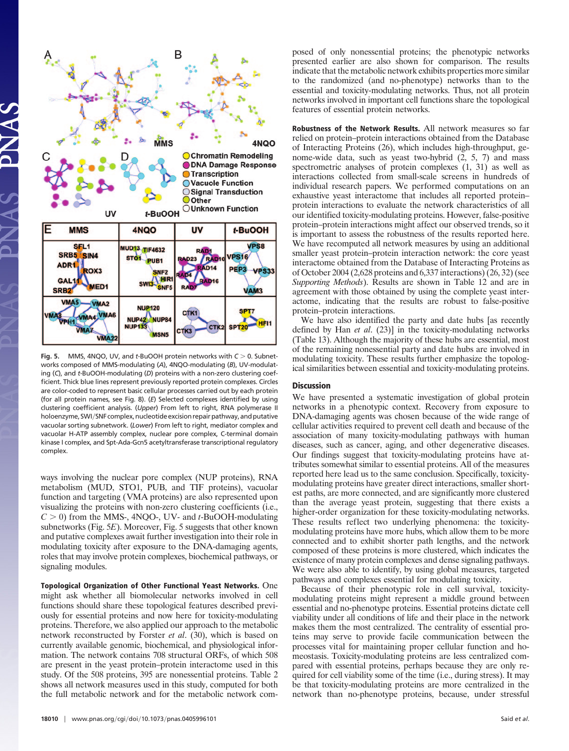

**Fig. 5.** MMS, 4NQO, UV, and *t*-BuOOH protein networks with *C* 0. Subnetworks composed of MMS-modulating (*A*), 4NQO-modulating (*B*), UV-modulating (*C*), and *t*-BuOOH-modulating (*D*) proteins with a non-zero clustering coefficient. Thick blue lines represent previously reported protein complexes. Circles are color-coded to represent basic cellular processes carried out by each protein (for all protein names, see Fig. 8). (*E*) Selected complexes identified by using clustering coefficient analysis. (*Upper*) From left to right, RNA polymerase II holoenzyme, SWI/SNF complex, nucleotide excision repair pathway, and putative vacuolar sorting subnetwork. (*Lower*) From left to right, mediator complex and vacuolar H-ATP assembly complex, nuclear pore complex, C-terminal domain kinase I complex, and Spt-Ada-Gcn5 acetyltransferase transcriptional regulatory complex.

ways involving the nuclear pore complex (NUP proteins), RNA metabolism (MUD, STO1, PUB, and TIF proteins), vacuolar function and targeting (VMA proteins) are also represented upon visualizing the proteins with non-zero clustering coefficients (i.e.,  $C > 0$ ) from the MMS-, 4NQO-, UV- and *t*-BuOOH-modulating subnetworks (Fig. 5*E*). Moreover, Fig. 5 suggests that other known and putative complexes await further investigation into their role in modulating toxicity after exposure to the DNA-damaging agents, roles that may involve protein complexes, biochemical pathways, or signaling modules.

**Topological Organization of Other Functional Yeast Networks.** One might ask whether all biomolecular networks involved in cell functions should share these topological features described previously for essential proteins and now here for toxicity-modulating proteins. Therefore, we also applied our approach to the metabolic network reconstructed by Forster *et al*. (30), which is based on currently available genomic, biochemical, and physiological information. The network contains 708 structural ORFs, of which 508 are present in the yeast protein–protein interactome used in this study. Of the 508 proteins, 395 are nonessential proteins. Table 2 shows all network measures used in this study, computed for both the full metabolic network and for the metabolic network composed of only nonessential proteins; the phenotypic networks presented earlier are also shown for comparison. The results indicate that the metabolic network exhibits properties more similar to the randomized (and no-phenotype) networks than to the essential and toxicity-modulating networks. Thus, not all protein networks involved in important cell functions share the topological features of essential protein networks.

**Robustness of the Network Results.** All network measures so far relied on protein–protein interactions obtained from the Database of Interacting Proteins (26), which includes high-throughput, genome-wide data, such as yeast two-hybrid (2, 5, 7) and mass spectrometric analyses of protein complexes (1, 31) as well as interactions collected from small-scale screens in hundreds of individual research papers. We performed computations on an exhaustive yeast interactome that includes all reported protein– protein interactions to evaluate the network characteristics of all our identified toxicity-modulating proteins. However, false-positive protein–protein interactions might affect our observed trends, so it is important to assess the robustness of the results reported here. We have recomputed all network measures by using an additional smaller yeast protein–protein interaction network: the core yeast interactome obtained from the Database of Interacting Proteins as of October 2004 (2,628 proteins and 6,337 interactions) (26, 32) (see *Supporting Methods*). Results are shown in Table 12 and are in agreement with those obtained by using the complete yeast interactome, indicating that the results are robust to false-positive protein–protein interactions.

We have also identified the party and date hubs [as recently defined by Han *et al*. (23)] in the toxicity-modulating networks (Table 13). Although the majority of these hubs are essential, most of the remaining nonessential party and date hubs are involved in modulating toxicity. These results further emphasize the topological similarities between essential and toxicity-modulating proteins.

## **Discussion**

We have presented a systematic investigation of global protein networks in a phenotypic context. Recovery from exposure to DNA-damaging agents was chosen because of the wide range of cellular activities required to prevent cell death and because of the association of many toxicity-modulating pathways with human diseases, such as cancer, aging, and other degenerative diseases. Our findings suggest that toxicity-modulating proteins have attributes somewhat similar to essential proteins. All of the measures reported here lead us to the same conclusion. Specifically, toxicitymodulating proteins have greater direct interactions, smaller shortest paths, are more connected, and are significantly more clustered than the average yeast protein, suggesting that there exists a higher-order organization for these toxicity-modulating networks. These results reflect two underlying phenomena: the toxicitymodulating proteins have more hubs, which allow them to be more connected and to exhibit shorter path lengths, and the network composed of these proteins is more clustered, which indicates the existence of many protein complexes and dense signaling pathways. We were also able to identify, by using global measures, targeted pathways and complexes essential for modulating toxicity.

Because of their phenotypic role in cell survival, toxicitymodulating proteins might represent a middle ground between essential and no-phenotype proteins. Essential proteins dictate cell viability under all conditions of life and their place in the network makes them the most centralized. The centrality of essential proteins may serve to provide facile communication between the processes vital for maintaining proper cellular function and homeostasis. Toxicity-modulating proteins are less centralized compared with essential proteins, perhaps because they are only required for cell viability some of the time (i.e., during stress). It may be that toxicity-modulating proteins are more centralized in the network than no-phenotype proteins, because, under stressful